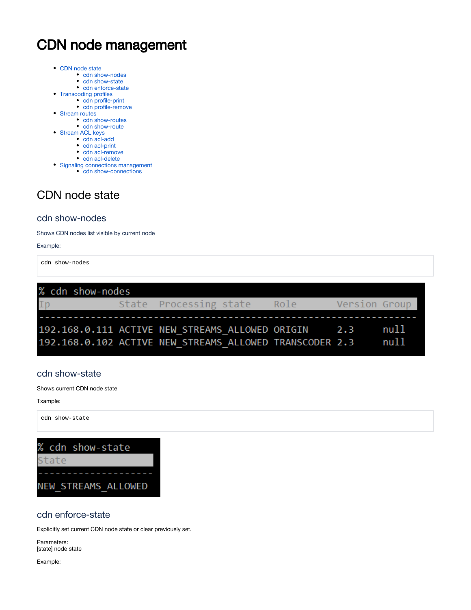# CDN node management

- [CDN node state](#page-0-0)
	- [cdn show-nodes](#page-0-1)
	- [cdn show-state](#page-0-2)
	- [cdn enforce-state](#page-0-3)
- [Transcoding profiles](#page-1-0)
	- [cdn profile-print](#page-1-1)
	- [cdn profile-remove](#page-2-0)
- [Stream routes](#page-3-0) • [cdn show-routes](#page-3-1)
	- [cdn show-route](#page-4-0)
	-
- [Stream ACL keys](#page-4-1)
	- [cdn acl-add](#page-4-2)
	- [cdn acl-print](#page-4-3)
	- [cdn acl-remove](#page-5-0) • [cdn acl-delete](#page-5-1)
	-
- [Signaling connections management](#page-5-2) • [cdn show-connections](#page-5-3)

# <span id="page-0-0"></span>CDN node state

## <span id="page-0-1"></span>cdn show-nodes

Shows CDN nodes list visible by current node

### Example:

cdn show-nodes

| % cdn show-nodes                                        |  |                        |  |      |               |      |
|---------------------------------------------------------|--|------------------------|--|------|---------------|------|
| Ip                                                      |  | State Processing state |  | Role | Version Group |      |
|                                                         |  |                        |  |      |               |      |
| 192.168.0.111 ACTIVE NEW STREAMS ALLOWED ORIGIN 2.3     |  |                        |  |      |               | nu11 |
| 192.168.0.102 ACTIVE NEW STREAMS ALLOWED TRANSCODER 2.3 |  |                        |  |      |               | nu11 |

### <span id="page-0-2"></span>cdn show-state

Shows current CDN node state

Txample:

cdn show-state



## <span id="page-0-3"></span>cdn enforce-state

Explicitly set current CDN node state or clear previously set.

Parameters: [state] node state

Example: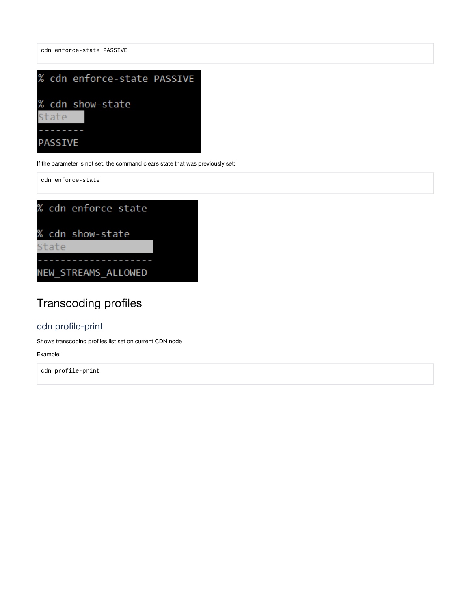

If the parameter is not set, the command clears state that was previously set:

cdn enforce-state

cdn enforce-state PASSIVE



# <span id="page-1-0"></span>Transcoding profiles

## <span id="page-1-1"></span>cdn profile-print

Shows transcoding profiles list set on current CDN node

### Example:

cdn profile-print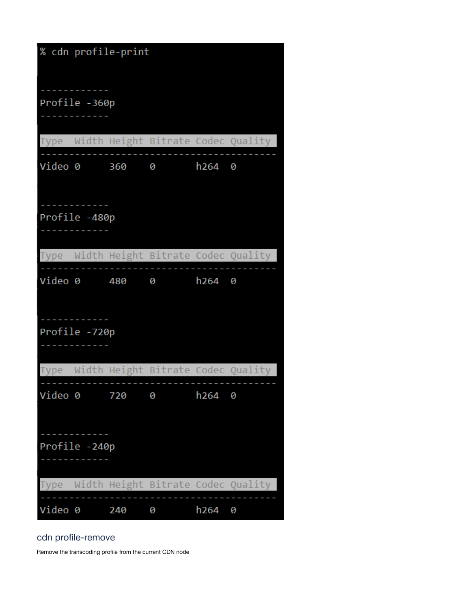| % cdn profile-print |  |               |   |                  |                                         |  |  |
|---------------------|--|---------------|---|------------------|-----------------------------------------|--|--|
| Profile -360p       |  |               |   |                  |                                         |  |  |
|                     |  |               |   |                  | Type Width Height Bitrate Codec Quality |  |  |
|                     |  | Video 0 360 0 |   | $h264$ 0         |                                         |  |  |
| Profile -480p       |  |               |   |                  |                                         |  |  |
|                     |  |               |   |                  | Type Width Height Bitrate Codec Quality |  |  |
|                     |  | Video 0 480 0 |   | ከ264 0           |                                         |  |  |
| Profile -720p       |  |               |   |                  |                                         |  |  |
|                     |  |               |   |                  | Type Width Height Bitrate Codec Quality |  |  |
| Video 0             |  | 720           | 0 | h <sub>264</sub> | 0                                       |  |  |
| Profile -240p       |  |               |   |                  |                                         |  |  |
| <b>Type</b>         |  |               |   |                  | Width Height Bitrate Codec Quality      |  |  |
| Video 0             |  | 240           | 0 | h <sub>264</sub> | 0                                       |  |  |

## <span id="page-2-0"></span>cdn profile-remove

Remove the transcoding profile from the current CDN node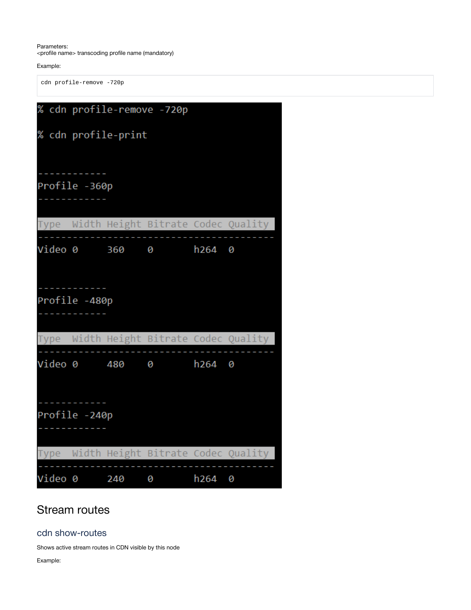Parameters: <profile name> transcoding profile name (mandatory)

Example:

cdn profile-remove -720p

|               | % cdn profile-remove -720p |               |                      |        |                                         |  |  |  |
|---------------|----------------------------|---------------|----------------------|--------|-----------------------------------------|--|--|--|
|               | % cdn profile-print        |               |                      |        |                                         |  |  |  |
|               |                            |               |                      |        |                                         |  |  |  |
| Profile -360p |                            |               |                      |        |                                         |  |  |  |
|               |                            |               |                      |        | Type Width Height Bitrate Codec Quality |  |  |  |
|               |                            |               | Video 0 360 0 h264 0 |        |                                         |  |  |  |
|               |                            |               |                      |        |                                         |  |  |  |
| Profile -480p |                            |               |                      |        |                                         |  |  |  |
|               |                            |               |                      |        | Type Width Height Bitrate Codec Quality |  |  |  |
|               |                            |               | Video 0 480 0 h264 0 |        |                                         |  |  |  |
|               |                            |               |                      |        |                                         |  |  |  |
| Profile -240p |                            |               |                      |        |                                         |  |  |  |
|               |                            |               |                      |        | Type Width Height Bitrate Codec Quality |  |  |  |
|               |                            | Video 0 240 0 |                      | h264 0 |                                         |  |  |  |

# <span id="page-3-0"></span>Stream routes

## <span id="page-3-1"></span>cdn show-routes

Shows active stream routes in CDN visible by this node

Example: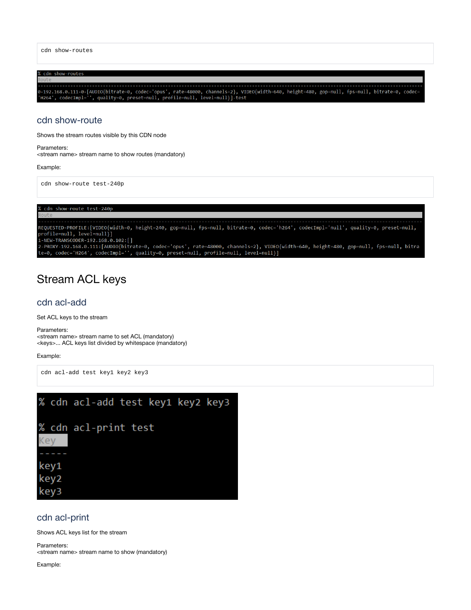cdn show-routes

# cdn show-routes 0-192.168.0.111-0-[AUDIO{bitrate=0, codec='opus', rate=48000, channels=2}, VIDEO{width=640, height=480, gop=null, fps=null, bitrate=0, codec=<br>'H264', codecImpl='', quality=0, preset=null, profile=null, level=null}]-test

### <span id="page-4-0"></span>cdn show-route

Shows the stream routes visible by this CDN node

Parameters: <stream name> stream name to show routes (mandatory)

Example:

cdn show-route test-240p

% cdn show-route test-240p

REQUESTED-PROFILE:[VIDEO{width=0, height=240, gop=null, fps=null, bitrate=0, codec='h264', codecImpl='null', quality=0, preset=null, profile=null, level=null}] µ viile-muii, ievei-muii/]<br>1-NEW-TRANSCODER-192.168.0.102:[]<br>2-PROXY-192.168.0.111:[AUDIO{bitrate=0, codec='opus', rate=48000, channels=2}, VIDEO{width=640, height=480, gop=null, fps=null, bitra<br>2-PROXY-192.168.0.111:[AU

# <span id="page-4-1"></span>Stream ACL keys

### <span id="page-4-2"></span>cdn acl-add

Set ACL keys to the stream

Parameters:

<stream name> stream name to set ACL (mandatory) <keys>... ACL keys list divided by whitespace (mandatory)

### Example:

cdn acl-add test key1 key2 key3



### <span id="page-4-3"></span>cdn acl-print

Shows ACL keys list for the stream

Parameters: <stream name> stream name to show (mandatory)

Example: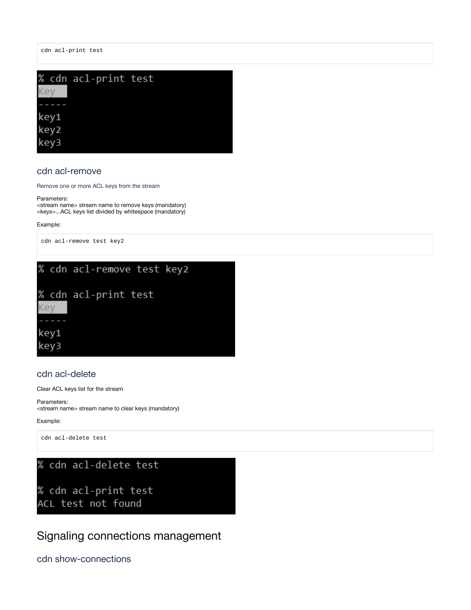cdn acl-print test



### <span id="page-5-0"></span>cdn acl-remove

Remove one or more ACL keys from the stream

#### Parameters:

<stream name> stream name to remove keys (mandatory) <keys>...ACL keys list divided by whitespace (mandatory)

Example:

cdn acl-remove test key2



### <span id="page-5-1"></span>cdn acl-delete

Clear ACL keys list for the stream

Parameters: <stream name> stream name to clear keys (mandatory)

Example:

cdn acl-delete test

% cdn acl-delete test

% cdn acl-print test ACL test not found

<span id="page-5-2"></span>Signaling connections management

<span id="page-5-3"></span>cdn show-connections